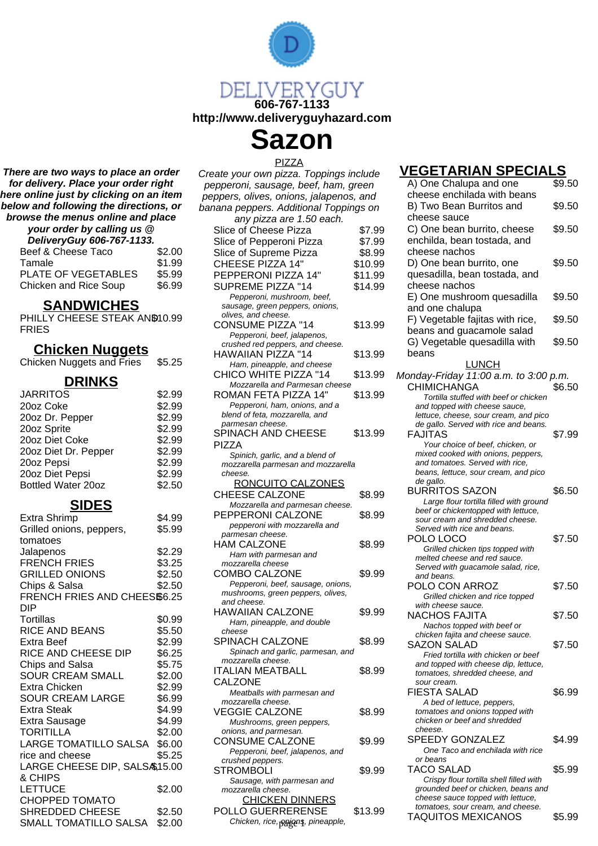

**Sazon**

PIZZA

**There are two ways to place an order for delivery. Place your order right here online just by clicking on an item below and following the directions, or browse the menus online and place**

| your order by calling us @ |        |  |
|----------------------------|--------|--|
| DeliveryGuy 606-767-1133.  |        |  |
| Beef & Cheese Taco         | \$2.00 |  |
| Tamale                     | \$1.99 |  |
| PLATE OF VEGETABLES        | \$5.99 |  |
| Chicken and Rice Soup      | \$6.99 |  |

### **SANDWICHES**

PHILLY CHEESE STEAK AND10.99 FRIES

### **Chicken Nuggets**

|  | Chicken Nuggets and Fries | \$5.25 |
|--|---------------------------|--------|
|  |                           |        |

## **DRINKS**

| <b>JARRITOS</b>      | \$2.99 |
|----------------------|--------|
| 20oz Coke            | \$2.99 |
| 20oz Dr. Pepper      | \$2.99 |
| 20oz Sprite          | \$2.99 |
| 20oz Diet Coke       | \$2.99 |
| 20oz Diet Dr. Pepper | \$2.99 |
| 20oz Pepsi           | \$2.99 |
| 20oz Diet Pepsi      | \$2.99 |
| Bottled Water 20oz   | \$2.50 |
|                      |        |

## **SIDES**

| Extra Shrimp                 | \$4.99 |
|------------------------------|--------|
| Grilled onions, peppers,     | \$5.99 |
| tomatoes                     |        |
| Jalapenos                    | \$2.29 |
| <b>FRENCH FRIES</b>          | \$3.25 |
| <b>GRILLED ONIONS</b>        | \$2.50 |
| Chips & Salsa                | \$2.50 |
| FRENCH FRIES AND CHEES\$6.25 |        |
| DIP                          |        |
| Tortillas                    | \$0.99 |
| RICE AND BEANS               | \$5.50 |
| Extra Beef                   | \$2.99 |
| RICE AND CHEESE DIP          | \$6.25 |
| Chips and Salsa              | \$5.75 |
| <b>SOUR CREAM SMALL</b>      | \$2.00 |
| Extra Chicken                | \$2.99 |
| <b>SOUR CREAM LARGE</b>      | \$6.99 |
| <b>Extra Steak</b>           | \$4.99 |
| Extra Sausage                | \$4.99 |
| <b>TORITILLA</b>             | \$2.00 |
| LARGE TOMATILLO SALSA        | \$6.00 |
| rice and cheese              | \$5.25 |
| LARGE CHEESE DIP, SALS&15.00 |        |
| & CHIPS                      |        |
| <b>LETTUCE</b>               | \$2.00 |
| <b>CHOPPED TOMATO</b>        |        |
| <b>SHREDDED CHEESE</b>       | \$2.50 |
| SMALL TOMATILLO SALSA        | \$2.00 |

Create your own pizza. Toppings include pepperoni, sausage, beef, ham, green peppers, olives, onions, jalapenos, and banana peppers. Additional Toppings on any pizza are 1.50 each. Slice of Cheese Pizza \$7.99 Slice of Pepperoni Pizza \$7.99 Slice of Supreme Pizza \$8.99

CHEESE PIZZA 14" \$10.99 PEPPERONI PIZZA 14" \$11.99 SUPREME PIZZA "14 \$14.99 Pepperoni, mushroom, beef, sausage, green peppers, onions, olives, and cheese. CONSUME PIZZA "14 \$13.99 Pepperoni, beef, jalapenos, crushed red peppers, and cheese. HAWAIIAN PIZZA "14 \$13.99 Ham, pineapple, and cheese CHICO WHITE PIZZA "14 \$13.99 Mozzarella and Parmesan cheese ROMAN FETA PIZZA 14" \$13.99 Pepperoni, ham, onions, and a blend of feta, mozzarella, and parmesan cheese. SPINACH AND CHEESE PIZZA \$13.99

Spinich, garlic, and a blend of mozzarella parmesan and mozzarella cheese.

| <u>RONCUITO CALZONES</u>          |        |
|-----------------------------------|--------|
| <b>CHEESE CALZONE</b>             | \$8.99 |
| Mozzarella and parmesan cheese.   |        |
| PEPPERONI CALZONE                 | \$8.99 |
| pepperoni with mozzarella and     |        |
| parmesan cheese.                  |        |
| HAM CALZONE                       | \$8.99 |
| Ham with parmesan and             |        |
| mozzarella cheese                 |        |
| <b>COMBO CALZONE</b>              | \$9.99 |
| Pepperoni, beef, sausage, onions, |        |
| mushrooms, green peppers, olives, |        |
| and cheese.                       |        |
| HAWAIIAN CALZONE                  | \$9.99 |
| Ham, pineapple, and double        |        |
| cheese                            |        |
| SPINACH CALZONE                   | \$8.99 |
| Spinach and garlic, parmesan, and |        |
| mozzarella cheese.                |        |
| ITALIAN MEATBALL                  | \$8.99 |
| <b>CALZONE</b>                    |        |
| Meatballs with parmesan and       |        |
| mozzarella cheese.                |        |
| VEGGIE CALZONE                    | \$8.99 |
| Mushrooms, green peppers,         |        |
| onions, and parmesan.             |        |
| <b>CONSUME CALZONE</b>            | \$9.99 |
| Pepperoni, beef, jalapenos, and   |        |
| crushed peppers.                  |        |
| <b>STROMBOLI</b>                  | \$9.99 |
| Sausage, with parmesan and        |        |
| mozzarella cheese.                |        |
| <b>CHICKEN DINNERS</b>            |        |

POLLO GUERRERENSE \$13.99

## **VEGETARIAN SPECIALS**

| your own pizza. Toppings include                       |         |                                                               |        |
|--------------------------------------------------------|---------|---------------------------------------------------------------|--------|
| eroni, sausage, beef, ham, green                       |         | A) One Chalupa and one                                        | \$9.50 |
| rs, olives, onions, jalapenos, and                     |         | cheese enchilada with beans                                   |        |
| a peppers. Additional Toppings on                      |         | B) Two Bean Burritos and                                      | \$9.50 |
| any pizza are 1.50 each.                               |         | cheese sauce                                                  |        |
| e of Cheese Pizza                                      | \$7.99  | C) One bean burrito, cheese                                   | \$9.50 |
| e of Pepperoni Pizza                                   | \$7.99  | enchilda, bean tostada, and                                   |        |
|                                                        |         | cheese nachos                                                 |        |
| e of Supreme Pizza                                     | \$8.99  |                                                               |        |
| <b>EESE PIZZA 14"</b>                                  | \$10.99 | D) One bean burrito, one                                      | \$9.50 |
| PPERONI PIZZA 14"                                      | \$11.99 | quesadilla, bean tostada, and                                 |        |
| <b>PREME PIZZA "14</b>                                 | \$14.99 | cheese nachos                                                 |        |
| Pepperoni, mushroom, beef,                             |         | E) One mushroom quesadilla                                    | \$9.50 |
| usage, green peppers, onions,                          |         | and one chalupa                                               |        |
| ves, and cheese.                                       |         | F) Vegetable fajitas with rice,                               | \$9.50 |
| NSUME PIZZA "14                                        | \$13.99 | beans and guacamole salad                                     |        |
| Pepperoni, beef, jalapenos,                            |         | G) Vegetable quesadilla with                                  | \$9.50 |
| ushed red peppers, and cheese.                         |         |                                                               |        |
| WAIIAN PIZZA "14                                       | \$13.99 | beans                                                         |        |
| Ham, pineapple, and cheese                             |         | <b>LUNCH</b>                                                  |        |
| ICO WHITE PIZZA "14                                    | \$13.99 | Monday-Friday 11:00 a.m. to 3:00 p.m.                         |        |
| Mozzarella and Parmesan cheese                         |         | CHIMICHANGA                                                   | \$6.50 |
| MAN FETA PIZZA 14"                                     | \$13.99 | Tortilla stuffed with beef or chicken                         |        |
| Pepperoni, ham, onions, and a                          |         | and topped with cheese sauce,                                 |        |
| end of feta, mozzarella, and                           |         | lettuce, cheese, sour cream, and pico                         |        |
| ırmesan cheese.                                        |         | de gallo. Served with rice and beans.                         |        |
| NACH AND CHEESE                                        | \$13.99 | <b>FAJITAS</b>                                                | \$7.99 |
| ZΑ                                                     |         | Your choice of beef, chicken, or                              |        |
| Spinich, garlic, and a blend of                        |         | mixed cooked with onions, peppers,                            |        |
| ozzarella parmesan and mozzarella                      |         | and tomatoes. Served with rice,                               |        |
| eese.                                                  |         | beans, lettuce, sour cream, and pico<br>de gallo.             |        |
| RONCUITO CALZONES                                      |         | <b>BURRITOS SAZON</b>                                         | \$6.50 |
| EESE CALZONE                                           | \$8.99  | Large flour tortilla filled with ground                       |        |
| Mozzarella and parmesan cheese.                        |         | beef or chickentopped with lettuce,                           |        |
| PPERONI CALZONE                                        | \$8.99  | sour cream and shredded cheese.                               |        |
| pepperoni with mozzarella and                          |         | Served with rice and beans.                                   |        |
| ırmesan cheese.                                        |         | POLO LOCO                                                     | \$7.50 |
| VI CALZONE                                             | \$8.99  | Grilled chicken tips topped with                              |        |
| Ham with parmesan and                                  |         | melted cheese and red sauce.                                  |        |
| ozzarella cheese                                       |         | Served with guacamole salad, rice,                            |        |
| MBO CALZONE                                            | \$9.99  | and beans.                                                    |        |
| Pepperoni, beef, sausage, onions,                      |         | POLO CON ARROZ                                                | \$7.50 |
| ushrooms, green peppers, olives,                       |         | Grilled chicken and rice topped                               |        |
| ıd cheese.                                             |         | with cheese sauce.                                            |        |
| <i>NAIIAN CALZONE</i>                                  | \$9.99  | NACHOS FAJITA                                                 | \$7.50 |
| Ham, pineapple, and double                             |         | Nachos topped with beef or                                    |        |
| eese<br>NACH CALZONE                                   | \$8.99  | chicken fajita and cheese sauce.                              |        |
|                                                        |         | SAZON SALAD                                                   | \$7.50 |
| Spinach and garlic, parmesan, and<br>ozzarella cheese. |         | Fried tortilla with chicken or beef                           |        |
| LIAN MEATBALL                                          | \$8.99  | and topped with cheese dip, lettuce,                          |        |
|                                                        |         | tomatoes, shredded cheese, and                                |        |
| _ZONE                                                  |         | sour cream.                                                   |        |
| Meatballs with parmesan and<br>ozzarella cheese.       |         | FIESTA SALAD                                                  | \$6.99 |
| GGIE CALZONE                                           | \$8.99  | A bed of lettuce, peppers,<br>tomatoes and onions topped with |        |
|                                                        |         | chicken or beef and shredded                                  |        |
| Mushrooms, green peppers,<br>iions, and parmesan.      |         | cheese.                                                       |        |
| NSUME CALZONE                                          |         | SPEEDY GONZALEZ                                               | \$4.99 |
|                                                        | \$9.99  | One Taco and enchilada with rice                              |        |
| Pepperoni, beef, jalapenos, and                        |         | or beans                                                      |        |
| ushed peppers.<br>२OMBOLI                              | \$9.99  | TACO SALAD                                                    | \$5.99 |
| Sausage, with parmesan and                             |         | Crispy flour tortilla shell filled with                       |        |
| ozzarella cheese.                                      |         | grounded beef or chicken, beans and                           |        |
| <b>CHICKEN DINNERS</b>                                 |         | cheese sauce topped with lettuce,                             |        |
| LLO GUERRERENSE                                        |         | tomatoes, sour cream, and cheese.                             |        |
|                                                        | \$13.99 | TAQUITOS MEXICANOS                                            | \$5.99 |
| Chicken, rice, ppians, pineapple,                      |         |                                                               |        |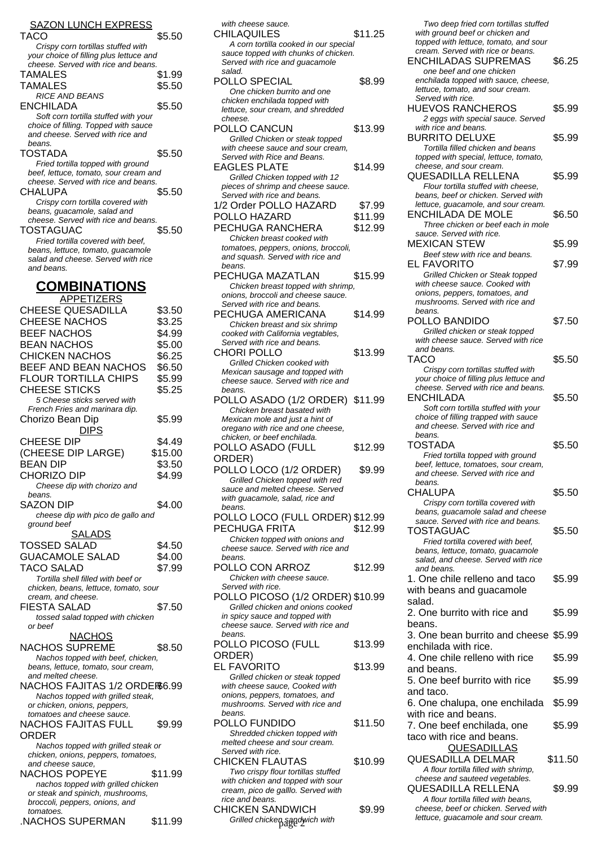#### SAZON LUNCH EXPRESS

| ,,,                                     |        |
|-----------------------------------------|--------|
| TACO                                    | \$5.50 |
| Crispy corn tortillas stuffed with      |        |
| your choice of filling plus lettuce and |        |
| cheese. Served with rice and beans.     |        |
| TAMALES                                 | \$1.99 |
| TAMALES                                 | \$5.50 |
| <b>RICE AND BEANS</b>                   |        |
| ENCHILADA                               | \$5.50 |
| Soft corn tortilla stuffed with your    |        |
| choice of filling. Topped with sauce    |        |
| and cheese. Served with rice and        |        |
| beans.                                  |        |
| TOSTADA                                 | \$5.50 |
| Fried tortilla topped with ground       |        |
| beef, lettuce, tomato, sour cream and   |        |
| cheese. Served with rice and beans.     |        |
| CHALUPA                                 | \$5.50 |
| Crispy corn tortilla covered with       |        |
|                                         |        |
| beans, guacamole, salad and             |        |
| cheese. Served with rice and beans.     |        |
| TOSTAGUAC                               | \$5.50 |
| Fried tortilla covered with beef,       |        |
| beans, lettuce, tomato, guacamole       |        |
| salad and cheese. Served with rice      |        |
| and beans.                              |        |

# **COMBINATIONS**

| <b>APPETIZERS</b>                                           |         |
|-------------------------------------------------------------|---------|
| <b>CHEESE QUESADILLA</b>                                    | \$3.50  |
| <b>CHEESE NACHOS</b>                                        | \$3.25  |
| <b>BEEF NACHOS</b>                                          | \$4.99  |
| <b>BEAN NACHOS</b>                                          | \$5.00  |
|                                                             |         |
| <b>CHICKEN NACHOS</b>                                       | \$6.25  |
| BEEF AND BEAN NACHOS                                        | \$6.50  |
| <b>FLOUR TORTILLA CHIPS</b>                                 | \$5.99  |
| <b>CHEESE STICKS</b>                                        | \$5.25  |
| 5 Cheese sticks served with                                 |         |
| French Fries and marinara dip.                              |         |
| Chorizo Bean Dip                                            | \$5.99  |
| <b>DIPS</b>                                                 |         |
| <b>CHEESE DIP</b>                                           | \$4.49  |
| (CHEESE DIP LARGE)                                          | \$15.00 |
| <b>BEAN DIP</b>                                             | \$3.50  |
| CHORIZO DIP                                                 | \$4.99  |
|                                                             |         |
| Cheese dip with chorizo and<br>beans.                       |         |
| <b>SAZON DIP</b>                                            | \$4.00  |
| cheese dip with pico de gallo and                           |         |
| ground beef                                                 |         |
| <u>SALADS</u>                                               |         |
| <b>TOSSED SALAD</b>                                         | \$4.50  |
| <b>GUACAMOLE SALAD</b>                                      | \$4.00  |
|                                                             |         |
| TACO SALAD                                                  | \$7.99  |
| Tortilla shell filled with beef or                          |         |
| chicken, beans, lettuce, tomato, sour<br>cream, and cheese. |         |
| FIESTA SALAD                                                | \$7.50  |
| tossed salad topped with chicken                            |         |
| or beef                                                     |         |
| <b>NACHOS</b>                                               |         |
| NACHOS SUPREME                                              | \$8.50  |
| Nachos topped with beef, chicken,                           |         |
| beans, lettuce, tomato, sour cream,                         |         |
| and melted cheese.                                          |         |
| NACHOS FAJITAS 1/2 ORDER6.99                                |         |
| Nachos topped with grilled steak,                           |         |
| or chicken, onions, peppers,                                |         |
| tomatoes and cheese sauce.                                  |         |
| <b>NACHOS FAJITAS FULL</b>                                  | \$9.99  |
| ORDER                                                       |         |
| Nachos topped with grilled steak or                         |         |
| chicken, onions, peppers, tomatoes,                         |         |
| and cheese sauce,                                           |         |
| NACHOS POPEYE                                               | \$11.99 |
| nachos topped with grilled chicken                          |         |
| or steak and spinich, mushrooms,                            |         |
| broccoli, peppers, onions, and                              |         |
| tomatoes.                                                   |         |
| .NACHOS SUPERMAN                                            | \$11.99 |

| with cheese sauce.                                                       |         | Two deep fried corn tortillas stuffe                                   |
|--------------------------------------------------------------------------|---------|------------------------------------------------------------------------|
| <b>CHILAQUILES</b>                                                       | \$11.25 | with ground beef or chicken and                                        |
| A corn tortilla cooked in our special                                    |         | topped with lettuce, tomato, and sou                                   |
| sauce topped with chunks of chicken.                                     |         | cream. Served with rice or beans.                                      |
| Served with rice and guacamole                                           |         | <b>ENCHILADAS SUPREMAS</b>                                             |
| salad.                                                                   |         | one beef and one chicken                                               |
| POLLO SPECIAL                                                            | \$8.99  | enchilada topped with sauce, chees                                     |
| One chicken burrito and one                                              |         | lettuce, tomato, and sour cream.                                       |
| chicken enchilada topped with                                            |         | Served with rice.                                                      |
| lettuce, sour cream, and shredded                                        |         | <b>HUEVOS RANCHEROS</b>                                                |
| cheese.                                                                  |         | 2 eggs with special sauce. Served                                      |
| POLLO CANCUN                                                             | \$13.99 | with rice and beans.                                                   |
| Grilled Chicken or steak topped                                          |         | <b>BURRITO DELUXE</b>                                                  |
| with cheese sauce and sour cream,                                        |         | Tortilla filled chicken and beans                                      |
| Served with Rice and Beans.                                              |         | topped with special, lettuce, tomato,                                  |
|                                                                          |         | cheese, and sour cream.                                                |
| <b>EAGLES PLATE</b>                                                      | \$14.99 |                                                                        |
| Grilled Chicken topped with 12                                           |         | QUESADILLA RELLENA                                                     |
| pieces of shrimp and cheese sauce.                                       |         | Flour tortilla stuffed with cheese,                                    |
| Served with rice and beans.                                              |         | beans, beef or chicken. Served with                                    |
| 1/2 Order POLLO HAZARD                                                   | \$7.99  | lettuce, guacamole, and sour cream                                     |
| POLLO HAZARD                                                             | \$11.99 | ENCHILADA DE MOLE                                                      |
| PECHUGA RANCHERA                                                         | \$12.99 | Three chicken or beef each in mo                                       |
| Chicken breast cooked with                                               |         | sauce. Served with rice.                                               |
| tomatoes, peppers, onions, broccoli,                                     |         | <b>MEXICAN STEW</b>                                                    |
| and squash. Served with rice and                                         |         | Beef stew with rice and beans.                                         |
| beans.                                                                   |         | EL FAVORITO                                                            |
| PECHUGA MAZATLAN                                                         | \$15.99 | Grilled Chicken or Steak topped                                        |
|                                                                          |         | with cheese sauce. Cooked with                                         |
| Chicken breast topped with shrimp,<br>onions, broccoli and cheese sauce. |         | onions, peppers, tomatoes, and                                         |
|                                                                          |         | mushrooms. Served with rice and                                        |
| Served with rice and beans.                                              |         | beans.                                                                 |
| PECHUGA AMERICANA                                                        | \$14.99 | POLLO BANDIDO                                                          |
| Chicken breast and six shrimp                                            |         |                                                                        |
| cooked with California vegtables,                                        |         | Grilled chicken or steak topped<br>with cheese sauce. Served with rice |
| Served with rice and beans.                                              |         |                                                                        |
| <b>CHORI POLLO</b>                                                       | \$13.99 | and beans.                                                             |
| Grilled Chicken cooked with                                              |         | TACO                                                                   |
| Mexican sausage and topped with                                          |         | Crispy corn tortillas stuffed with                                     |
| cheese sauce. Served with rice and                                       |         | your choice of filling plus lettuce and                                |
| beans.                                                                   |         | cheese. Served with rice and beans                                     |
| POLLO ASADO (1/2 ORDER)                                                  | \$11.99 | <b>ENCHILADA</b>                                                       |
| Chicken breast basated with                                              |         | Soft corn tortilla stuffed with your                                   |
| Mexican mole and just a hint of                                          |         | choice of filling trapped with sauce                                   |
| oregano with rice and one cheese,                                        |         | and cheese. Served with rice and                                       |
| chicken, or beef enchilada.                                              |         | beans.                                                                 |
| POLLO ASADO (FULL                                                        | \$12.99 | TOSTADA                                                                |
| ORDER)                                                                   |         | Fried tortilla topped with ground                                      |
|                                                                          |         | beef, lettuce, tomatoes, sour cream,                                   |
| POLLO LOCO (1/2 ORDER)                                                   | \$9.99  | and cheese. Served with rice and                                       |
| Grilled Chicken topped with red                                          |         | beans.                                                                 |
| sauce and melted cheese. Served                                          |         | CHALUPA                                                                |
| with quacamole, salad, rice and                                          |         | Crispy corn tortilla covered with                                      |
| beans.                                                                   |         | beans, guacamole salad and chees                                       |
| POLLO LOCO (FULL ORDER) \$12.99                                          |         | sauce. Served with rice and beans.                                     |
| PECHUGA FRITA                                                            | \$12.99 | TOSTAGUAC                                                              |
| Chicken topped with onions and                                           |         | Fried tortilla covered with beef,                                      |
| cheese sauce. Served with rice and                                       |         | beans, lettuce, tomato, guacamole                                      |
| beans.                                                                   |         | salad, and cheese. Served with rice                                    |
| POLLO CON ARROZ                                                          | \$12.99 | and beans.                                                             |
| Chicken with cheese sauce.                                               |         | 1. One chile relleno and taco                                          |
| Served with rice.                                                        |         |                                                                        |
| POLLO PICOSO (1/2 ORDER) \$10.99                                         |         | with beans and guacamole                                               |
| Grilled chicken and onions cooked                                        |         | salad.                                                                 |
| in spicy sauce and topped with                                           |         | 2. One burrito with rice and                                           |
| cheese sauce. Served with rice and                                       |         | beans.                                                                 |
| beans.                                                                   |         |                                                                        |
|                                                                          |         | 3. One bean burrito and chees                                          |
| POLLO PICOSO (FULL                                                       | \$13.99 | enchilada with rice.                                                   |
| ORDER)                                                                   |         | 4. One chile relleno with rice                                         |
| <b>EL FAVORITO</b>                                                       | \$13.99 | and beans.                                                             |
| Grilled chicken or steak topped                                          |         | 5. One beef burrito with rice                                          |
| with cheese sauce, Cooked with                                           |         |                                                                        |
| onions, peppers, tomatoes, and                                           |         | and taco.                                                              |
| mushrooms. Served with rice and                                          |         | 6. One chalupa, one enchilada                                          |
| beans.                                                                   |         | with rice and beans.                                                   |
| POLLO FUNDIDO                                                            | \$11.50 | 7. One beef enchilada, one                                             |
| Shredded chicken topped with                                             |         |                                                                        |
| melted cheese and sour cream.                                            |         | taco with rice and beans.                                              |
| Served with rice.                                                        |         | <b>QUESADILLAS</b>                                                     |
| <b>CHICKEN FLAUTAS</b>                                                   | \$10.99 | <b>QUESADILLA DELMAR</b>                                               |
| Two crispy flour tortillas stuffed                                       |         | A flour tortilla filled with shrimp,                                   |
|                                                                          |         | cheese and sauteed vegetables.                                         |
| with chicken and topped with sour                                        |         |                                                                        |
| cream, pico de galllo. Served with<br>rice and beans.                    |         |                                                                        |
|                                                                          |         | QUESADILLA RELLENA                                                     |
|                                                                          |         | A flour tortilla filled with beans.                                    |
| <b>CHICKEN SANDWICH</b>                                                  | \$9.99  | cheese, beef or chicken. Served wit                                    |
| Grilled chicken sandwich with                                            |         | lettuce, guacamole and sour cream.                                     |

| Two deep fried corn tortillas stuffed                                     |         |
|---------------------------------------------------------------------------|---------|
| with ground beef or chicken and<br>topped with lettuce, tomato, and sour  |         |
| cream. Served with rice or beans.                                         |         |
| <b>ENCHILADAS SUPREMAS</b>                                                | \$6.25  |
| one beef and one chicken<br>enchilada topped with sauce, cheese,          |         |
| lettuce, tomato, and sour cream.                                          |         |
| Served with rice.                                                         |         |
| <b>HUEVOS RANCHEROS</b>                                                   | \$5.99  |
| 2 eggs with special sauce. Served<br>with rice and beans.                 |         |
| <b>BURRITO DELUXE</b>                                                     | \$5.99  |
| Tortilla filled chicken and beans                                         |         |
| topped with special, lettuce, tomato,<br>cheese, and sour cream.          |         |
| QUESADILLA RELLENA                                                        | \$5.99  |
| Flour tortilla stuffed with cheese,                                       |         |
| beans, beef or chicken. Served with                                       |         |
| lettuce, guacamole, and sour cream.<br>ENCHILADA DE MOLE                  | \$6.50  |
| Three chicken or beef each in mole                                        |         |
| sauce. Served with rice.                                                  |         |
| <b>MEXICAN STEW</b>                                                       | \$5.99  |
| Beef stew with rice and beans.<br>EL FAVORITO                             | \$7.99  |
| Grilled Chicken or Steak topped                                           |         |
| with cheese sauce. Cooked with                                            |         |
| onions, peppers, tomatoes, and                                            |         |
| mushrooms. Served with rice and<br>beans.                                 |         |
| POLLO BANDIDO                                                             | \$7.50  |
| Grilled chicken or steak topped                                           |         |
| with cheese sauce. Served with rice<br>and beans.                         |         |
| TACO                                                                      | \$5.50  |
| Crispy corn tortillas stuffed with                                        |         |
| your choice of filling plus lettuce and                                   |         |
| cheese. Served with rice and beans.<br>ENCHILADA                          | \$5.50  |
| Soft corn tortilla stuffed with your                                      |         |
| choice of filling trapped with sauce                                      |         |
| and cheese. Served with rice and                                          |         |
| beans.<br>TOSTADA                                                         |         |
|                                                                           |         |
|                                                                           | \$5.50  |
| Fried tortilla topped with ground<br>beef, lettuce, tomatoes, sour cream, |         |
| and cheese. Served with rice and                                          |         |
| beans.<br>CHALUPA                                                         |         |
| Crispy corn tortilla covered with                                         | \$5.50  |
| beans, guacamole salad and cheese                                         |         |
| sauce. Served with rice and beans.                                        |         |
| TOSTAGUAC                                                                 | \$5.50  |
| Fried tortilla covered with beef,<br>beans, lettuce, tomato, quacamole    |         |
| salad, and cheese. Served with rice                                       |         |
| and beans.                                                                |         |
| 1. One chile relleno and taco                                             | \$5.99  |
| with beans and guacamole<br>salad.                                        |         |
| 2. One burrito with rice and                                              | \$5.99  |
| beans.                                                                    |         |
| 3. One bean burrito and cheese \$5.99                                     |         |
| enchilada with rice.                                                      |         |
| 4. One chile relleno with rice                                            | \$5.99  |
| and beans.                                                                |         |
| 5. One beef burrito with rice                                             | \$5.99  |
| and taco.                                                                 |         |
| 6. One chalupa, one enchilada                                             | \$5.99  |
| with rice and beans.<br>7. One beef enchilada, one                        | \$5.99  |
| taco with rice and beans.                                                 |         |
| <b>QUESADILLAS</b>                                                        |         |
| QUESADILLA DELMAR                                                         | \$11.50 |
| A flour tortilla filled with shrimp,                                      |         |
| cheese and sauteed vegetables.                                            |         |
| QUESADILLA RELLENA<br>A flour tortilla filled with beans,                 | \$9.99  |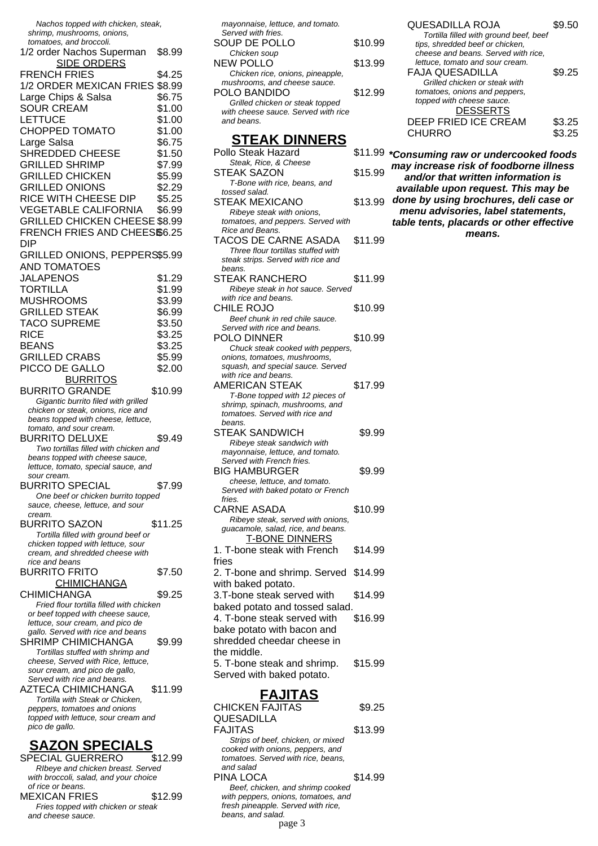Nachos topped with chicken, steak, shrimp, mushrooms, onions, tomatoes, and broccoli. 1/2 order Nachos Superman \$8.99 SIDE ORDERS FRENCH FRIES \$4.25 1/2 ORDER MEXICAN FRIES \$8.99 Large Chips & Salsa \$6.75 SOUR CREAM \$1.00 LETTUCE \$1.00 CHOPPED TOMATO \$1.00 Large Salsa  $$6.75$ SHREDDED CHEESE \$1.50 GRILLED SHRIMP \$7.99 GRILLED CHICKEN \$5.99 GRILLED ONIONS \$2.29 RICE WITH CHEESE DIP \$5.25 VEGETABLE CALIFORNIA \$6.99 GRILLED CHICKEN CHEESE \$8.99 FRENCH FRIES AND CHEES\$6.25 DIP GRILLED ONIONS, PEPPERS\$5.99 AND TOMATOES JALAPENOS \$1.29 TORTILLA \$1.99 MUSHROOMS \$3.99 GRILLED STEAK \$6.99 TACO SUPREME \$3.50 RICE \$3.25 BEANS \$3.25 GRILLED CRABS \$5.99 PICCO DE GALLO \$2.00 BURRITOS BURRITO GRANDE \$10.99 Gigantic burrito filed with grilled chicken or steak, onions, rice and beans topped with cheese, lettuce, tomato, and sour cream. BURRITO DELUXE \$9.49 Two tortillas filled with chicken and beans topped with cheese sauce, lettuce, tomato, special sauce, and sour cream. BURRITO SPECIAL \$7.99 One beef or chicken burrito topped sauce, cheese, lettuce, and sour cream. BURRITO SAZON \$11.25 Tortilla filled with ground beef or chicken topped with lettuce, sour cream, and shredded cheese with rice and beans BURRITO FRITO \$7.50 **CHIMICHANGA** CHIMICHANGA \$9.25 Fried flour tortilla filled with chicken or beef topped with cheese sauce, lettuce, sour cream, and pico de gallo. Served with rice and beans SHRIMP CHIMICHANGA \$9.99 Tortillas stuffed with shrimp and cheese, Served with Rice, lettuce, sour cream, and pico de gallo, Served with rice and beans. AZTECA CHIMICHANGA \$11.99 Tortilla with Steak or Chicken, peppers, tomatoes and onions topped with lettuce, sour cream and pico de gallo.

### **SAZON SPECIALS**

SPECIAL GUERRERO \$12.99 RIbeye and chicken breast. Served with broccoli, salad, and your choice of rice or beans. MEXICAN FRIES \$12.99 Fries topped with chicken or steak and cheese sauce.

mayonnaise, lettuce, and tomato. Served with fries. SOUP DE POLLO \$10.99 Chicken soup NEW POLLO \$13.99 Chicken rice, onions, pineapple, mushrooms, and cheese sauce. POLO BANDIDO \$12.99 Grilled chicken or steak topped with cheese sauce. Served with rice and beans. **STEAK DINNERS** Pollo Steak Hazard Steak, Rice, & Cheese STEAK SAZON \$15.99 T-Bone with rice, beans, and tossed salad. **STEAK MEXICANO** Ribeye steak with onions, tomatoes, and peppers. Served with Rice and Beans. TACOS DE CARNE ASADA \$11.99 Three flour tortillas stuffed with steak strips. Served with rice and beans. STEAK RANCHERO \$11.99 Ribeye steak in hot sauce. Served with rice and beans. CHILE ROJO \$10.99 Beef chunk in red chile sauce. Served with rice and beans. POLO DINNER \$10.99 Chuck steak cooked with peppers, onions, tomatoes, mushrooms, squash, and special sauce. Served with rice and beans. AMERICAN STEAK \$17.99 T-Bone topped with 12 pieces of shrimp, spinach, mushrooms, and tomatoes. Served with rice and beans. STEAK SANDWICH \$9.99 Ribeye steak sandwich with mayonnaise, lettuce, and tomato. Served with French fries. BIG HAMBURGER \$9.99 cheese, lettuce, and tomato. Served with baked potato or French fries. CARNE ASADA \$10.99 Ribeye steak, served with onions, guacamole, salad, rice, and beans. T-BONE DINNERS 1. T-bone steak with French fries \$14.99 2. T-bone and shrimp. Served \$14.99 with baked potato. 3.T-bone steak served with baked potato and tossed salad. \$14.99 4. T-bone steak served with \$16.99

bake potato with bacon and shredded cheedar cheese in the middle. 5. T-bone steak and shrimp. Served with baked potato. \$15.99

### **FAJITAS**

| <b>CHICKEN FAJITAS</b>              | \$9.25  |
|-------------------------------------|---------|
| QUESADILLA                          |         |
| FAJITAS                             | \$13.99 |
| Strips of beef, chicken, or mixed   |         |
| cooked with onions, peppers, and    |         |
| tomatoes. Served with rice, beans,  |         |
| and salad                           |         |
| PINA LOCA                           | \$14.99 |
| Beef, chicken, and shrimp cooked    |         |
| with peppers, onions, tomatoes, and |         |
| fresh pineapple. Served with rice,  |         |
| beans, and salad.                   |         |
| page 3                              |         |

| <b>QUESADILLA ROJA</b><br>Tortilla filled with ground beef, beef       | \$9.50 |
|------------------------------------------------------------------------|--------|
| tips, shredded beef or chicken,<br>cheese and beans. Served with rice. |        |
| lettuce, tomato and sour cream.<br><b>FAJA QUESADILLA</b>              | \$9.25 |
| Grilled chicken or steak with                                          |        |
| tomatoes, onions and peppers,<br>topped with cheese sauce.             |        |
| <b>DESSERTS</b>                                                        |        |
| DEEP FRIED ICE CREAM                                                   | \$3.25 |
| <b>CHURRO</b>                                                          |        |

**\*Consuming raw or undercooked foods may increase risk of foodborne illness and/or that written information is available upon request. This may be done by using brochures, deli case or menu advisories, label statements, table tents, placards or other effective means.**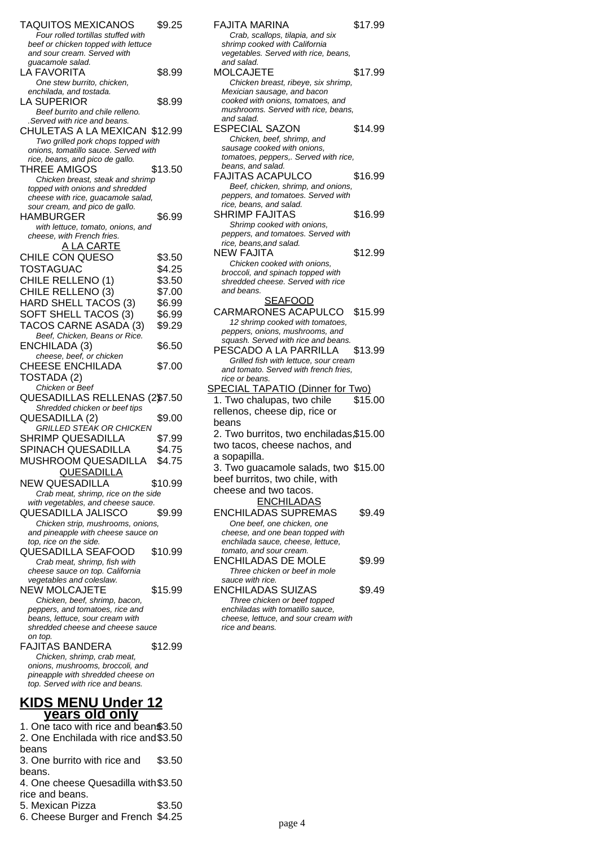| <b>TAQUITOS MEXICANOS</b><br>Four rolled tortillas stuffed with<br>beef or chicken topped with lettuce | \$9.25  |  |
|--------------------------------------------------------------------------------------------------------|---------|--|
| and sour cream. Served with                                                                            |         |  |
| guacamole salad.<br>LA FAVORITA                                                                        | \$8.99  |  |
| One stew burrito, chicken.<br>enchilada, and tostada.                                                  |         |  |
| <b>LA SUPERIOR</b>                                                                                     | \$8.99  |  |
| Beef burrito and chile relleno.<br>.Served with rice and beans.                                        |         |  |
| CHULETAS A LA MEXICAN \$12.99                                                                          |         |  |
| Two grilled pork chops topped with<br>onions, tomatillo sauce. Served with                             |         |  |
| rice, beans, and pico de gallo.<br><b>THREE AMIGOS</b>                                                 | \$13.50 |  |
| Chicken breast, steak and shrimp                                                                       |         |  |
| topped with onions and shredded<br>cheese with rice, guacamole salad,                                  |         |  |
| sour cream, and pico de gallo.<br>HAMBURGER                                                            | \$6.99  |  |
| with lettuce, tomato, onions, and                                                                      |         |  |
| cheese, with French fries.<br><u>A LA CARTE</u>                                                        |         |  |
| CHILE CON QUESO                                                                                        | \$3.50  |  |
| <b>TOSTAGUAC</b>                                                                                       | \$4.25  |  |
| CHILE RELLENO (1)                                                                                      | \$3.50  |  |
| CHILE RELLENO (3)                                                                                      | \$7.00  |  |
| HARD SHELL TACOS (3)                                                                                   | \$6.99  |  |
| SOFT SHELL TACOS (3)                                                                                   | \$6.99  |  |
| TACOS CARNE ASADA (3)                                                                                  | \$9.29  |  |
| Beef, Chicken, Beans or Rice.                                                                          |         |  |
| ENCHILADA (3)<br>cheese, beef, or chicken                                                              | \$6.50  |  |
| <b>CHEESE ENCHILADA</b>                                                                                | \$7.00  |  |
| TOSTADA (2)                                                                                            |         |  |
| Chicken or Beef<br>QUESADILLAS RELLENAS (2\$7.50                                                       |         |  |
| Shredded chicken or beef tips                                                                          |         |  |
| QUESADILLA (2)                                                                                         | \$9.00  |  |
| <b>GRILLED STEAK OR CHICKEN</b>                                                                        |         |  |
| <b>SHRIMP QUESADILLA</b>                                                                               | \$7.99  |  |
| SPINACH QUESADILLA                                                                                     | \$4.75  |  |
| MUSHROOM QUESADILLA<br><b>QUESADILLA</b>                                                               | \$4.75  |  |
| <b>NEW QUESADILLA</b>                                                                                  | \$10.99 |  |
| Crab meat, shrimp, rice on the side                                                                    |         |  |
| with vegetables, and cheese sauce.                                                                     |         |  |
| <b>QUESADILLA JALISCO</b>                                                                              | \$9.99  |  |
| Chicken strip, mushrooms, onions,<br>and pineapple with cheese sauce on                                |         |  |
| top, rice on the side.                                                                                 |         |  |
| <b>QUESADILLA SEAFOOD</b>                                                                              | \$10.99 |  |
| Crab meat, shrimp, fish with<br>cheese sauce on top. California                                        |         |  |
| vegetables and coleslaw.                                                                               |         |  |
| <b>NEW MOLCAJETE</b>                                                                                   | \$15.99 |  |
| Chicken, beef, shrimp, bacon,                                                                          |         |  |
| peppers, and tomatoes, rice and<br>beans, lettuce, sour cream with                                     |         |  |
| shredded cheese and cheese sauce                                                                       |         |  |
| on top.                                                                                                |         |  |
| FAJITAS BANDERA<br>Chicken, shrimp, crab meat,                                                         | \$12.99 |  |
| onions, mushrooms, broccoli, and                                                                       |         |  |
| pineapple with shredded cheese on                                                                      |         |  |
| top. Served with rice and beans.                                                                       |         |  |

### **KIDS MENU Under 12 years old only**

1. One taco with rice and beans\$3.50 2. One Enchilada with rice and \$3.50 beans 3. One burrito with rice and beans. \$3.50

4. One cheese Quesadilla with \$3.50 rice and beans.

5. Mexican Pizza \$3.50

6. Cheese Burger and French \$4.25

| <b>FAJITA MARINA</b>                                                  | \$17.99 |
|-----------------------------------------------------------------------|---------|
| Crab, scallops, tilapia, and six                                      |         |
| shrimp cooked with California                                         |         |
| vegetables. Served with rice, beans,                                  |         |
| and salad.                                                            |         |
| MOLCAJETE                                                             | \$17.99 |
| Chicken breast, ribeye, six shrimp,                                   |         |
| Mexician sausage, and bacon                                           |         |
| cooked with onions, tomatoes, and                                     |         |
| mushrooms. Served with rice, beans,                                   |         |
| and salad.                                                            |         |
| <b>ESPECIAL SAZON</b>                                                 | \$14.99 |
| Chicken, beef, shrimp, and                                            |         |
| sausage cooked with onions,                                           |         |
| tomatoes, peppers,. Served with rice,                                 |         |
| beans, and salad.                                                     |         |
| <b>FAJITAS ACAPULCO</b>                                               | \$16.99 |
| Beef, chicken, shrimp, and onions,                                    |         |
| peppers, and tomatoes. Served with                                    |         |
| rice, beans, and salad.                                               |         |
| <b>SHRIMP FAJITAS</b>                                                 | \$16.99 |
|                                                                       |         |
| Shrimp cooked with onions,                                            |         |
| peppers, and tomatoes. Served with                                    |         |
| rice, beans, and salad.                                               |         |
| <b>NEW FAJITA</b>                                                     | \$12.99 |
| Chicken cooked with onions,                                           |         |
| broccoli, and spinach topped with                                     |         |
| shredded cheese. Served with rice                                     |         |
| and beans.                                                            |         |
| <b>SEAFOOD</b>                                                        |         |
| CARMARONES ACAPULCO \$15.99                                           |         |
| 12 shrimp cooked with tomatoes,                                       |         |
| peppers, onions, mushrooms, and                                       |         |
| squash. Served with rice and beans.                                   |         |
| PESCADO A LA PARRILLA                                                 | \$13.99 |
| Grilled fish with lettuce, sour cream                                 |         |
| and tomato. Served with french fries,                                 |         |
| rice or beans.                                                        |         |
| <b>SPECIAL TAPATIO (Dinner for Two)</b>                               |         |
| 1. Two chalupas, two chile                                            | \$15.00 |
|                                                                       |         |
| rellenos, cheese dip, rice or                                         |         |
| beans                                                                 |         |
| 2. Two burritos, two enchiladas, \$15.00                              |         |
| two tacos, cheese nachos, and                                         |         |
| a sopapilla.                                                          |         |
|                                                                       |         |
| 3. Two guacamole salads, two \$15.00                                  |         |
| beef burritos, two chile, with                                        |         |
| cheese and two tacos.                                                 |         |
| <b>ENCHILADAS</b>                                                     |         |
| <b>ENCHILADAS SUPREMAS</b>                                            | \$9.49  |
|                                                                       |         |
| One beef, one chicken, one                                            |         |
| cheese, and one bean topped with<br>enchilada sauce, cheese, lettuce, |         |
| tomato, and sour cream.                                               |         |
| <b>ENCHILADAS DE MOLE</b>                                             |         |
|                                                                       | \$9.99  |
| Three chicken or beef in mole                                         |         |
| sauce with rice.                                                      |         |
| <b>ENCHILADAS SUIZAS</b>                                              | \$9.49  |
| Three chicken or beef topped                                          |         |

enchiladas with tomatillo sauce, cheese, lettuce, and sour cream with

rice and beans.